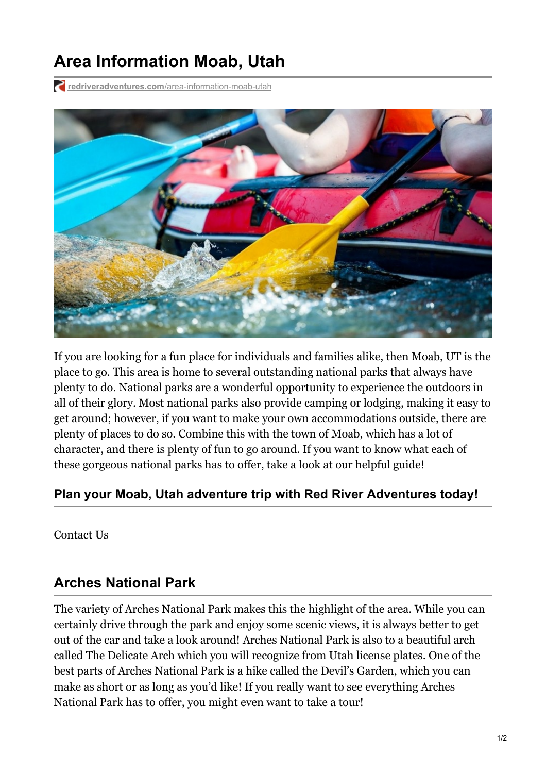# **Area Information Moab, Utah**

**redriveradventures.com**[/area-information-moab-utah](https://redriveradventures.com/area-information-moab-utah/)



If you are looking for a fun place for individuals and families alike, then Moab, UT is the place to go. This area is home to several outstanding national parks that always have plenty to do. National parks are a wonderful opportunity to experience the outdoors in all of their glory. Most national parks also provide camping or lodging, making it easy to get around; however, if you want to make your own accommodations outside, there are plenty of places to do so. Combine this with the town of Moab, which has a lot of character, and there is plenty of fun to go around. If you want to know what each of these gorgeous national parks has to offer, take a look at our helpful guide!

#### **Plan your Moab, Utah adventure trip with Red River Adventures today!**

[Contact](tel:877-259-4046) Us

### **Arches National Park**

The variety of Arches National Park makes this the highlight of the area. While you can certainly drive through the park and enjoy some scenic views, it is always better to get out of the car and take a look around! Arches National Park is also to a beautiful arch called The Delicate Arch which you will recognize from Utah license plates. One of the best parts of Arches National Park is a hike called the Devil's Garden, which you can make as short or as long as you'd like! If you really want to see everything Arches National Park has to offer, you might even want to take a tour!